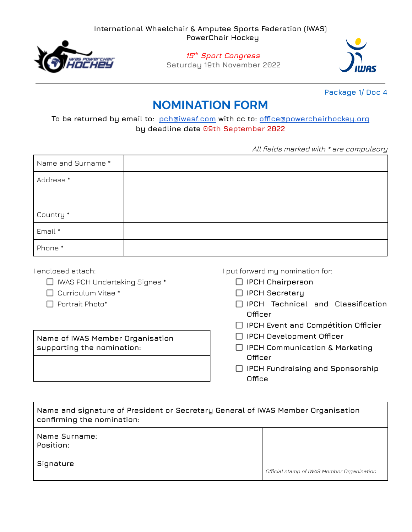

## **15 th Sport Congress**

**Saturday 19th November 2022**



**Package 1/ Doc 4**

## **NOMINATION FORM**

**To be returned by email to: [pch@iwasf.com](mailto:pch@iwasf.com) with cc to: [office@powerchairhockey.org](mailto:office@powerchairhockey.org) by deadline date 09th September 2022**

All fields marked with \* are compulsory

| Name and Surname * |  |
|--------------------|--|
| Address *          |  |
|                    |  |
| Country *          |  |
| Email *            |  |
| Phone *            |  |

I enclosed attach:

- IWAS PCH Undertaking Signes \*
- $\Box$  Curriculum Vitae  $^*$
- $\Box$  Portrait Photo\*

**Name of IWAS Member Organisation supporting the nomination:**

I put forward my nomination for:

- **IPCH Chairperson**
- **IPCH Secretary**
- **IPCH Technical and Classification Officer**
- **IPCH Event and Compétition Officier**
- **IPCH Development Officer**
- **IPCH Communication & Marketing Officer**
- **IPCH Fundraising and Sponsorship Office**

| Name and signature of President or Secretary General of IWAS Member Organisation<br>$\,$ confirming the nomination: |                                            |  |
|---------------------------------------------------------------------------------------------------------------------|--------------------------------------------|--|
| Name Surname:<br>Position:                                                                                          |                                            |  |
| Signature                                                                                                           | Official stamp of IWAS Member Organisation |  |